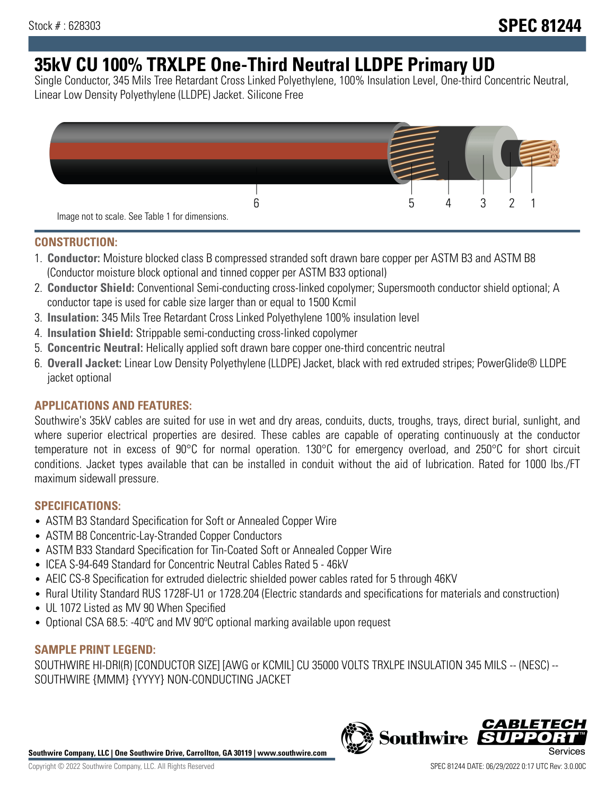# **35kV CU 100% TRXLPE One-Third Neutral LLDPE Primary UD**

Single Conductor, 345 Mils Tree Retardant Cross Linked Polyethylene, 100% Insulation Level, One-third Concentric Neutral, Linear Low Density Polyethylene (LLDPE) Jacket. Silicone Free



### **CONSTRUCTION:**

- 1. **Conductor:** Moisture blocked class B compressed stranded soft drawn bare copper per ASTM B3 and ASTM B8 (Conductor moisture block optional and tinned copper per ASTM B33 optional)
- 2. **Conductor Shield:** Conventional Semi-conducting cross-linked copolymer; Supersmooth conductor shield optional; A conductor tape is used for cable size larger than or equal to 1500 Kcmil
- 3. **Insulation:** 345 Mils Tree Retardant Cross Linked Polyethylene 100% insulation level
- 4. **Insulation Shield:** Strippable semi-conducting cross-linked copolymer
- 5. **Concentric Neutral:** Helically applied soft drawn bare copper one-third concentric neutral
- 6. **Overall Jacket:** Linear Low Density Polyethylene (LLDPE) Jacket, black with red extruded stripes; PowerGlide® LLDPE jacket optional

### **APPLICATIONS AND FEATURES:**

Southwire's 35kV cables are suited for use in wet and dry areas, conduits, ducts, troughs, trays, direct burial, sunlight, and where superior electrical properties are desired. These cables are capable of operating continuously at the conductor temperature not in excess of 90°C for normal operation. 130°C for emergency overload, and 250°C for short circuit conditions. Jacket types available that can be installed in conduit without the aid of lubrication. Rated for 1000 lbs./FT maximum sidewall pressure.

### **SPECIFICATIONS:**

- ASTM B3 Standard Specification for Soft or Annealed Copper Wire
- ASTM B8 Concentric-Lay-Stranded Copper Conductors
- ASTM B33 Standard Specification for Tin-Coated Soft or Annealed Copper Wire
- ICEA S-94-649 Standard for Concentric Neutral Cables Rated 5 46kV
- AEIC CS-8 Specification for extruded dielectric shielded power cables rated for 5 through 46KV
- Rural Utility Standard RUS 1728F-U1 or 1728.204 (Electric standards and specifications for materials and construction)
- UL 1072 Listed as MV 90 When Specified
- Optional CSA 68.5: -40ºC and MV 90ºC optional marking available upon request

### **SAMPLE PRINT LEGEND:**

SOUTHWIRE HI-DRI(R) [CONDUCTOR SIZE] [AWG or KCMIL] CU 35000 VOLTS TRXLPE INSULATION 345 MILS -- (NESC) -- SOUTHWIRE {MMM} {YYYY} NON-CONDUCTING JACKET

**Southwire Company, LLC | One Southwire Drive, Carrollton, GA 30119 | www.southwire.com**